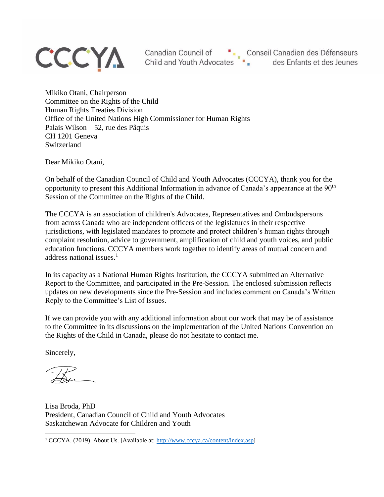# **CCCYA**

Canadian Council of **Canadian Canadian Canadian Council of Canadian Canadian Canadian Canadian** Child and Youth Advocates **Child** and Youth Advocates **Child** and Youth Advocates **Child** and Youth Advocates **Child** and Youth Advocates **Child** and Youth Advocates **Child** and Youth Advocates **Child** and Youth Advocates

Mikiko Otani, Chairperson Committee on the Rights of the Child Human Rights Treaties Division Office of the United Nations High Commissioner for Human Rights Palais Wilson – 52, rue des Pâquis CH 1201 Geneva Switzerland

Dear Mikiko Otani,

On behalf of the Canadian Council of Child and Youth Advocates (CCCYA), thank you for the opportunity to present this Additional Information in advance of Canada's appearance at the 90<sup>th</sup> Session of the Committee on the Rights of the Child.

The CCCYA is an association of children's Advocates, Representatives and Ombudspersons from across Canada who are independent officers of the legislatures in their respective jurisdictions, with legislated mandates to promote and protect children's human rights through complaint resolution, advice to government, amplification of child and youth voices, and public education functions. CCCYA members work together to identify areas of mutual concern and address national issues. $<sup>1</sup>$ </sup>

In its capacity as a National Human Rights Institution, the CCCYA submitted an Alternative Report to the Committee, and participated in the Pre-Session. The enclosed submission reflects updates on new developments since the Pre-Session and includes comment on Canada's Written Reply to the Committee's List of Issues.

If we can provide you with any additional information about our work that may be of assistance to the Committee in its discussions on the implementation of the United Nations Convention on the Rights of the Child in Canada, please do not hesitate to contact me.

Sincerely,

Lisa Broda, PhD President, Canadian Council of Child and Youth Advocates Saskatchewan Advocate for Children and Youth

<sup>1</sup> CCCYA. (2019). About Us. [Available at:<http://www.cccya.ca/content/index.asp>]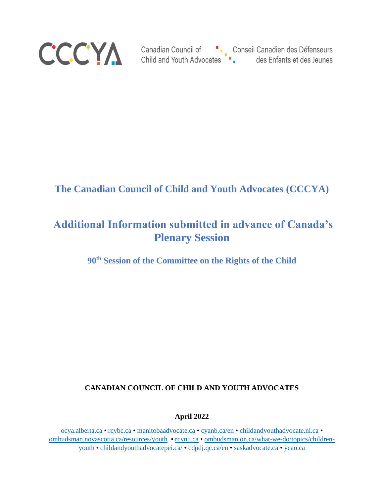

### **The Canadian Council of Child and Youth Advocates (CCCYA)**

## **Additional Information submitted in advance of Canada's Plenary Session**

**90th Session of the Committee on the Rights of the Child**

#### **CANADIAN COUNCIL OF CHILD AND YOUTH ADVOCATES**

**April 2022**

[ocya.alberta.ca](http://www.ocya.alberta.ca/) • [rcybc.ca](http://www.rcybc.ca/) • [manitobaadvocate.ca](http://www.manitobaadvocate.ca/) [• cyanb.ca/en](http://www.cyanb.ca/en/) • [childandyouthadvocate.nl.ca](http://www.childandyouthadvocate.nl.ca/) • [ombudsman.novascotia.ca/resources/youth](https://ombudsman.novascotia.ca/resources/youth) • [rcynu.ca](http://www.rcynu.ca/) • [ombudsman.on.ca/what-we-do/topics/children](http://www.ombudsman.on.ca/what-we-do/topics/children-youth)[youth](http://www.ombudsman.on.ca/what-we-do/topics/children-youth) • [childandyouthadvocatepei.ca/](https://www.childandyouthadvocatepei.ca/) • [cdpdj.qc.ca/en](http://www.cdpdj.qc.ca/en) • [saskadvocate.ca](http://www.saskadvocate.ca/) • [ycao.ca](https://www.ycao.ca/)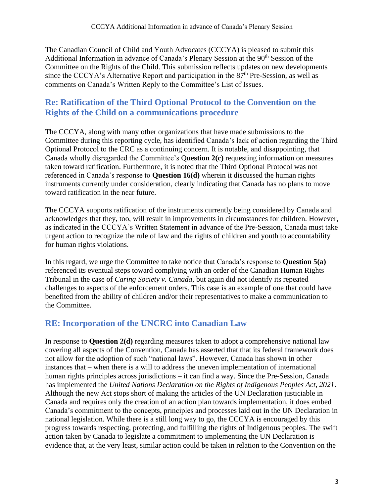The Canadian Council of Child and Youth Advocates (CCCYA) is pleased to submit this Additional Information in advance of Canada's Plenary Session at the 90<sup>th</sup> Session of the Committee on the Rights of the Child. This submission reflects updates on new developments since the CCCYA's Alternative Report and participation in the  $87<sup>th</sup>$  Pre-Session, as well as comments on Canada's Written Reply to the Committee's List of Issues.

#### **Re: Ratification of the Third Optional Protocol to the Convention on the Rights of the Child on a communications procedure**

The CCCYA, along with many other organizations that have made submissions to the Committee during this reporting cycle, has identified Canada's lack of action regarding the Third Optional Protocol to the CRC as a continuing concern. It is notable, and disappointing, that Canada wholly disregarded the Committee's Q**uestion 2(c)** requesting information on measures taken toward ratification. Furthermore, it is noted that the Third Optional Protocol was not referenced in Canada's response to **Question 16(d)** wherein it discussed the human rights instruments currently under consideration, clearly indicating that Canada has no plans to move toward ratification in the near future.

The CCCYA supports ratification of the instruments currently being considered by Canada and acknowledges that they, too, will result in improvements in circumstances for children. However, as indicated in the CCCYA's Written Statement in advance of the Pre-Session, Canada must take urgent action to recognize the rule of law and the rights of children and youth to accountability for human rights violations.

In this regard, we urge the Committee to take notice that Canada's response to **Question 5(a)** referenced its eventual steps toward complying with an order of the Canadian Human Rights Tribunal in the case of *Caring Society v. Canada*, but again did not identify its repeated challenges to aspects of the enforcement orders. This case is an example of one that could have benefited from the ability of children and/or their representatives to make a communication to the Committee.

#### **RE: Incorporation of the UNCRC into Canadian Law**

In response to **Question 2(d)** regarding measures taken to adopt a comprehensive national law covering all aspects of the Convention, Canada has asserted that that its federal framework does not allow for the adoption of such "national laws". However, Canada has shown in other instances that – when there is a will to address the uneven implementation of international human rights principles across jurisdictions – it can find a way. Since the Pre-Session, Canada has implemented the *United Nations Declaration on the Rights of Indigenous Peoples Act, 2021*. Although the new Act stops short of making the articles of the UN Declaration justiciable in Canada and requires only the creation of an action plan towards implementation, it does embed Canada's commitment to the concepts, principles and processes laid out in the UN Declaration in national legislation. While there is a still long way to go, the CCCYA is encouraged by this progress towards respecting, protecting, and fulfilling the rights of Indigenous peoples. The swift action taken by Canada to legislate a commitment to implementing the UN Declaration is evidence that, at the very least, similar action could be taken in relation to the Convention on the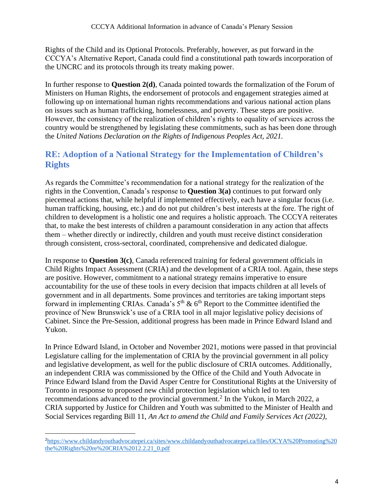Rights of the Child and its Optional Protocols. Preferably, however, as put forward in the CCCYA's Alternative Report, Canada could find a constitutional path towards incorporation of the UNCRC and its protocols through its treaty making power.

In further response to **Question 2(d)**, Canada pointed towards the formalization of the Forum of Ministers on Human Rights, the endorsement of protocols and engagement strategies aimed at following up on international human rights recommendations and various national action plans on issues such as human trafficking, homelessness, and poverty. These steps are positive. However, the consistency of the realization of children's rights to equality of services across the country would be strengthened by legislating these commitments, such as has been done through the *United Nations Declaration on the Rights of Indigenous Peoples Act, 2021.*

#### **RE: Adoption of a National Strategy for the Implementation of Children's Rights**

As regards the Committee's recommendation for a national strategy for the realization of the rights in the Convention, Canada's response to **Question 3(a)** continues to put forward only piecemeal actions that, while helpful if implemented effectively, each have a singular focus (i.e. human trafficking, housing, etc.) and do not put children's best interests at the fore. The right of children to development is a holistic one and requires a holistic approach. The CCCYA reiterates that, to make the best interests of children a paramount consideration in any action that affects them – whether directly or indirectly, children and youth must receive distinct consideration through consistent, cross-sectoral, coordinated, comprehensive and dedicated dialogue.

In response to **Question 3(c)**, Canada referenced training for federal government officials in Child Rights Impact Assessment (CRIA) and the development of a CRIA tool. Again, these steps are positive. However, commitment to a national strategy remains imperative to ensure accountability for the use of these tools in every decision that impacts children at all levels of government and in all departments. Some provinces and territories are taking important steps forward in implementing CRIAs. Canada's  $5<sup>th</sup>$  &  $6<sup>th</sup>$  Report to the Committee identified the province of New Brunswick's use of a CRIA tool in all major legislative policy decisions of Cabinet. Since the Pre-Session, additional progress has been made in Prince Edward Island and Yukon.

In Prince Edward Island, in October and November 2021, motions were passed in that provincial Legislature calling for the implementation of CRIA by the provincial government in all policy and legislative development, as well for the public disclosure of CRIA outcomes. Additionally, an independent CRIA was commissioned by the Office of the Child and Youth Advocate in Prince Edward Island from the David Asper Centre for Constitutional Rights at the University of Toronto in response to proposed new child protection legislation which led to ten recommendations advanced to the provincial government. 2 In the Yukon, in March 2022, a CRIA supported by Justice for Children and Youth was submitted to the Minister of Health and Social Services regarding Bill 11, *An Act to amend the Child and Family Services Act (2022)*,

<sup>2</sup>[https://www.childandyouthadvocatepei.ca/sites/www.childandyouthadvocatepei.ca/files/OCYA%20Promoting%20](https://www.childandyouthadvocatepei.ca/sites/www.childandyouthadvocatepei.ca/files/OCYA%20Promoting%20the%20Rights%20re%20CRIA%2012.2.21_0.pdf) [the%20Rights%20re%20CRIA%2012.2.21\\_0.pdf](https://www.childandyouthadvocatepei.ca/sites/www.childandyouthadvocatepei.ca/files/OCYA%20Promoting%20the%20Rights%20re%20CRIA%2012.2.21_0.pdf)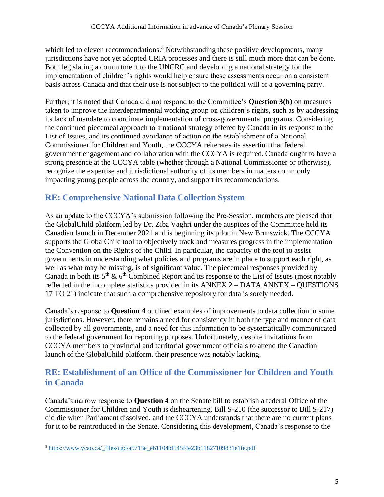which led to eleven recommendations.<sup>3</sup> Notwithstanding these positive developments, many jurisdictions have not yet adopted CRIA processes and there is still much more that can be done. Both legislating a commitment to the UNCRC and developing a national strategy for the implementation of children's rights would help ensure these assessments occur on a consistent basis across Canada and that their use is not subject to the political will of a governing party.

Further, it is noted that Canada did not respond to the Committee's **Question 3(b)** on measures taken to improve the interdepartmental working group on children's rights, such as by addressing its lack of mandate to coordinate implementation of cross-governmental programs. Considering the continued piecemeal approach to a national strategy offered by Canada in its response to the List of Issues, and its continued avoidance of action on the establishment of a National Commissioner for Children and Youth, the CCCYA reiterates its assertion that federal government engagement and collaboration with the CCCYA is required. Canada ought to have a strong presence at the CCCYA table (whether through a National Commissioner or otherwise), recognize the expertise and jurisdictional authority of its members in matters commonly impacting young people across the country, and support its recommendations.

#### **RE: Comprehensive National Data Collection System**

As an update to the CCCYA's submission following the Pre-Session, members are pleased that the GlobalChild platform led by Dr. Ziba Vaghri under the auspices of the Committee held its Canadian launch in December 2021 and is beginning its pilot in New Brunswick. The CCCYA supports the GlobalChild tool to objectively track and measures progress in the implementation the Convention on the Rights of the Child. In particular, the capacity of the tool to assist governments in understanding what policies and programs are in place to support each right, as well as what may be missing, is of significant value. The piecemeal responses provided by Canada in both its  $5<sup>th</sup>$  &  $6<sup>th</sup>$  Combined Report and its response to the List of Issues (most notably reflected in the incomplete statistics provided in its ANNEX 2 – DATA ANNEX – QUESTIONS 17 TO 21) indicate that such a comprehensive repository for data is sorely needed.

Canada's response to **Question 4** outlined examples of improvements to data collection in some jurisdictions. However, there remains a need for consistency in both the type and manner of data collected by all governments, and a need for this information to be systematically communicated to the federal government for reporting purposes. Unfortunately, despite invitations from CCCYA members to provincial and territorial government officials to attend the Canadian launch of the GlobalChild platform, their presence was notably lacking.

#### **RE: Establishment of an Office of the Commissioner for Children and Youth in Canada**

Canada's narrow response to **Question 4** on the Senate bill to establish a federal Office of the Commissioner for Children and Youth is disheartening. Bill S-210 (the successor to Bill S-217) did die when Parliament dissolved, and the CCCYA understands that there are no current plans for it to be reintroduced in the Senate. Considering this development, Canada's response to the

<sup>3</sup> [https://www.ycao.ca/\\_files/ugd/a5713e\\_e61104bf545f4e23b11827109831e1fe.pdf](https://www.ycao.ca/_files/ugd/a5713e_e61104bf545f4e23b11827109831e1fe.pdf)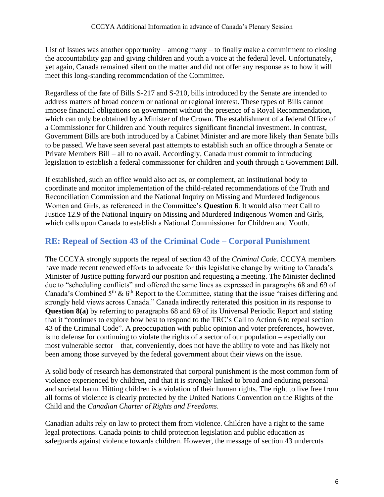List of Issues was another opportunity – among many – to finally make a commitment to closing the accountability gap and giving children and youth a voice at the federal level. Unfortunately, yet again, Canada remained silent on the matter and did not offer any response as to how it will meet this long-standing recommendation of the Committee.

Regardless of the fate of Bills S-217 and S-210, bills introduced by the Senate are intended to address matters of broad concern or national or regional interest. These types of Bills cannot impose financial obligations on government without the presence of a Royal Recommendation, which can only be obtained by a Minister of the Crown. The establishment of a federal Office of a Commissioner for Children and Youth requires significant financial investment. In contrast, Government Bills are both introduced by a Cabinet Minister and are more likely than Senate bills to be passed. We have seen several past attempts to establish such an office through a Senate or Private Members Bill – all to no avail. Accordingly, Canada must commit to introducing legislation to establish a federal commissioner for children and youth through a Government Bill.

If established, such an office would also act as, or complement, an institutional body to coordinate and monitor implementation of the child-related recommendations of the Truth and Reconciliation Commission and the National Inquiry on Missing and Murdered Indigenous Women and Girls, as referenced in the Committee's **Question 6**. It would also meet Call to Justice 12.9 of the National Inquiry on Missing and Murdered Indigenous Women and Girls, which calls upon Canada to establish a National Commissioner for Children and Youth.

#### **RE: Repeal of Section 43 of the Criminal Code – Corporal Punishment**

The CCCYA strongly supports the repeal of section 43 of the *Criminal Code*. CCCYA members have made recent renewed efforts to advocate for this legislative change by writing to Canada's Minister of Justice putting forward our position and requesting a meeting. The Minister declined due to "scheduling conflicts" and offered the same lines as expressed in paragraphs 68 and 69 of Canada's Combined  $5<sup>th</sup>$  &  $6<sup>th</sup>$  Report to the Committee, stating that the issue "raises differing and strongly held views across Canada." Canada indirectly reiterated this position in its response to **Question 8(a)** by referring to paragraphs 68 and 69 of its Universal Periodic Report and stating that it "continues to explore how best to respond to the TRC's Call to Action 6 to repeal section 43 of the Criminal Code". A preoccupation with public opinion and voter preferences, however, is no defense for continuing to violate the rights of a sector of our population – especially our most vulnerable sector – that, conveniently, does not have the ability to vote and has likely not been among those surveyed by the federal government about their views on the issue.

A solid body of research has demonstrated that corporal punishment is the most common form of violence experienced by children, and that it is strongly linked to broad and enduring personal and societal harm. Hitting children is a violation of their human rights. The right to live free from all forms of violence is clearly protected by the United Nations Convention on the Rights of the Child and the *Canadian Charter of Rights and Freedoms*.

Canadian adults rely on law to protect them from violence. Children have a right to the same legal protections. Canada points to child protection legislation and public education as safeguards against violence towards children. However, the message of section 43 undercuts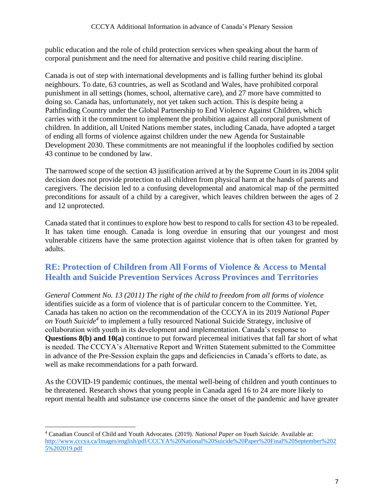public education and the role of child protection services when speaking about the harm of corporal punishment and the need for alternative and positive child rearing discipline.

Canada is out of step with international developments and is falling further behind its global neighbours. To date, 63 countries, as well as Scotland and Wales, have prohibited corporal punishment in all settings (homes, school, alternative care), and 27 more have committed to doing so. Canada has, unfortunately, not yet taken such action. This is despite being a Pathfinding Country under the Global Partnership to End Violence Against Children, which carries with it the commitment to implement the prohibition against all corporal punishment of children. In addition, all United Nations member states, including Canada, have adopted a target of ending all forms of violence against children under the new Agenda for Sustainable Development 2030. These commitments are not meaningful if the loopholes codified by section 43 continue to be condoned by law.

The narrowed scope of the section 43 justification arrived at by the Supreme Court in its 2004 split decision does not provide protection to all children from physical harm at the hands of parents and caregivers. The decision led to a confusing developmental and anatomical map of the permitted preconditions for assault of a child by a caregiver, which leaves children between the ages of 2 and 12 unprotected.

Canada stated that it continues to explore how best to respond to calls for section 43 to be repealed. It has taken time enough. Canada is long overdue in ensuring that our youngest and most vulnerable citizens have the same protection against violence that is often taken for granted by adults.

#### **RE: Protection of Children from All Forms of Violence & Access to Mental Health and Suicide Prevention Services Across Provinces and Territories**

*General Comment No. 13 (2011) The right of the child to freedom from all forms of violence* identifies suicide as a form of violence that is of particular concern to the Committee. Yet, Canada has taken no action on the recommendation of the CCCYA in its 2019 *National Paper on Youth Suicide<sup>4</sup>* to implement a fully resourced National Suicide Strategy, inclusive of collaboration with youth in its development and implementation. Canada's response to **Questions 8(b) and 10(a)** continue to put forward piecemeal initiatives that fall far short of what is needed. The CCCYA's Alternative Report and Written Statement submitted to the Committee in advance of the Pre-Session explain the gaps and deficiencies in Canada's efforts to date, as well as make recommendations for a path forward.

As the COVID-19 pandemic continues, the mental well-being of children and youth continues to be threatened. Research shows that young people in Canada aged 16 to 24 are more likely to report mental health and substance use concerns since the onset of the pandemic and have greater

<sup>4</sup> Canadian Council of Child and Youth Advocates. (2019). *National Paper on Youth Suicide*. Available at: [http://www.cccya.ca/Images/english/pdf/CCCYA%20National%20Suicide%20Paper%20Final%20September%202](http://www.cccya.ca/Images/english/pdf/CCCYA%20National%20Suicide%20Paper%20Final%20September%2025%202019.pdf) [5%202019.pdf](http://www.cccya.ca/Images/english/pdf/CCCYA%20National%20Suicide%20Paper%20Final%20September%2025%202019.pdf)